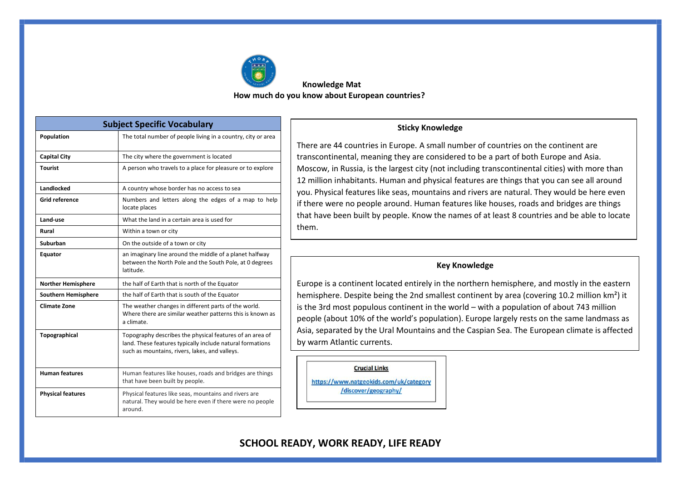

### **Knowledge Mat How much do you know about European countries?**

| <b>Subject Specific Vocabulary</b> |                                                                                                                                                                         |  |  |  |
|------------------------------------|-------------------------------------------------------------------------------------------------------------------------------------------------------------------------|--|--|--|
| Population                         | The total number of people living in a country, city or area                                                                                                            |  |  |  |
| <b>Capital City</b>                | The city where the government is located                                                                                                                                |  |  |  |
| <b>Tourist</b>                     | A person who travels to a place for pleasure or to explore                                                                                                              |  |  |  |
| Landlocked                         | A country whose border has no access to sea                                                                                                                             |  |  |  |
| Grid reference                     | Numbers and letters along the edges of a map to help<br>locate places                                                                                                   |  |  |  |
| Land-use                           | What the land in a certain area is used for                                                                                                                             |  |  |  |
| Rural                              | Within a town or city                                                                                                                                                   |  |  |  |
| Suburban                           | On the outside of a town or city                                                                                                                                        |  |  |  |
| Equator                            | an imaginary line around the middle of a planet halfway<br>between the North Pole and the South Pole, at 0 degrees<br>latitude.                                         |  |  |  |
| <b>Norther Hemisphere</b>          | the half of Earth that is north of the Equator                                                                                                                          |  |  |  |
| Southern Hemisphere                | the half of Earth that is south of the Equator                                                                                                                          |  |  |  |
| <b>Climate Zone</b>                | The weather changes in different parts of the world.<br>Where there are similar weather patterns this is known as<br>a climate.                                         |  |  |  |
| Topographical                      | Topography describes the physical features of an area of<br>land. These features typically include natural formations<br>such as mountains, rivers, lakes, and valleys. |  |  |  |
| <b>Human features</b>              | Human features like houses, roads and bridges are things<br>that have been built by people.                                                                             |  |  |  |
| <b>Physical features</b>           | Physical features like seas, mountains and rivers are<br>natural. They would be here even if there were no people<br>around.                                            |  |  |  |

#### **Sticky Knowledge**

There are 44 countries in Europe. A small number of countries on the continent are transcontinental, meaning they are considered to be a part of both Europe and Asia. Moscow, in Russia, is the largest city (not including transcontinental cities) with more than 12 million inhabitants. Human and physical features are things that you can see all around you. Physical features like seas, mountains and rivers are natural. They would be here even if there were no people around. Human features like houses, roads and bridges are things that have been built by people. Know the names of at least 8 countries and be able to locate them.

### **Key Knowledge**

Europe is a continent located entirely in the northern hemisphere, and mostly in the eastern hemisphere. Despite being the 2nd smallest continent by area (covering 10.2 million km<sup>2</sup>) it is the 3rd most populous continent in the world – with a population of about 743 million people (about 10% of the world's population). Europe largely rests on the same landmass as Asia, separated by the Ural Mountains and the Caspian Sea. The European climate is affected by warm Atlantic currents.

#### **Crucial Links**

https://www.natgeokids.com/uk/category

/discover/geography/

# **SCHOOL READY, WORK READY, LIFE READY**